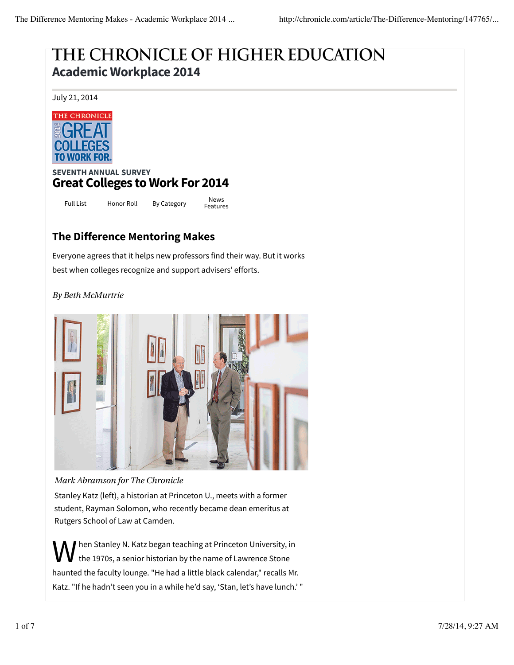# THE CHRONICLE OF HIGHER EDUCATION **Academic Workplace 2014**

July 21, 2014



### **SEVENTH ANNUAL SURVEY Great Colleges to Work For 2014**

Full List Honor Roll By Category News

Features

## **The Difference Mentoring Makes**

Everyone agrees that it helps new professors find their way. But it works best when colleges recognize and support advisers' efforts.

#### *By Beth McMurtrie*



#### *Mark Abramson for The Chronicle*

Stanley Katz (left), a historian at Princeton U., meets with a former student, Rayman Solomon, who recently became dean emeritus at Rutgers School of Law at Camden.

W hen Stanley N. Katz began teaching at Princeton University, in the 1970s, a senior historian by the name of Lawrence Stone haunted the faculty lounge. "He had a little black calendar," recalls Mr. Katz. "If he hadn't seen you in a while he'd say, 'Stan, let's have lunch.' "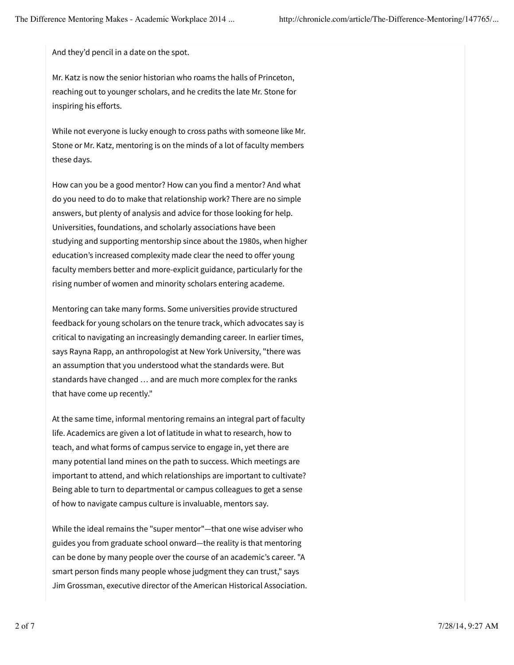And they'd pencil in a date on the spot.

Mr. Katz is now the senior historian who roams the halls of Princeton, reaching out to younger scholars, and he credits the late Mr. Stone for inspiring his efforts.

While not everyone is lucky enough to cross paths with someone like Mr. Stone or Mr. Katz, mentoring is on the minds of a lot of faculty members these days.

How can you be a good mentor? How can you find a mentor? And what do you need to do to make that relationship work? There are no simple answers, but plenty of analysis and advice for those looking for help. Universities, foundations, and scholarly associations have been studying and supporting mentorship since about the 1980s, when higher education's increased complexity made clear the need to offer young faculty members better and more-explicit guidance, particularly for the rising number of women and minority scholars entering academe.

Mentoring can take many forms. Some universities provide structured feedback for young scholars on the tenure track, which advocates say is critical to navigating an increasingly demanding career. In earlier times, says Rayna Rapp, an anthropologist at New York University, "there was an assumption that you understood what the standards were. But standards have changed … and are much more complex for the ranks that have come up recently."

At the same time, informal mentoring remains an integral part of faculty life. Academics are given a lot of latitude in what to research, how to teach, and what forms of campus service to engage in, yet there are many potential land mines on the path to success. Which meetings are important to attend, and which relationships are important to cultivate? Being able to turn to departmental or campus colleagues to get a sense of how to navigate campus culture is invaluable, mentors say.

While the ideal remains the "super mentor"—that one wise adviser who guides you from graduate school onward—the reality is that mentoring can be done by many people over the course of an academic's career. "A smart person finds many people whose judgment they can trust," says Jim Grossman, executive director of the American Historical Association.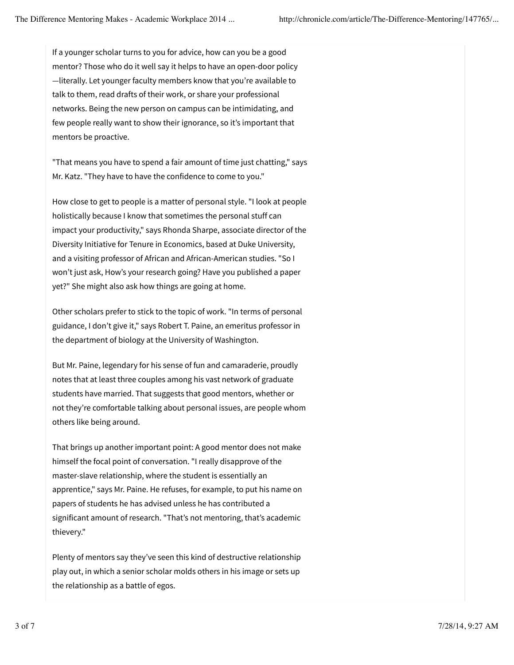If a younger scholar turns to you for advice, how can you be a good mentor? Those who do it well say it helps to have an open-door policy —literally. Let younger faculty members know that you're available to talk to them, read drafts of their work, or share your professional networks. Being the new person on campus can be intimidating, and few people really want to show their ignorance, so it's important that mentors be proactive.

"That means you have to spend a fair amount of time just chatting," says Mr. Katz. "They have to have the confidence to come to you."

How close to get to people is a matter of personal style. "I look at people holistically because I know that sometimes the personal stuff can impact your productivity," says Rhonda Sharpe, associate director of the Diversity Initiative for Tenure in Economics, based at Duke University, and a visiting professor of African and African-American studies. "So I won't just ask, How's your research going? Have you published a paper yet?" She might also ask how things are going at home.

Other scholars prefer to stick to the topic of work. "In terms of personal guidance, I don't give it," says Robert T. Paine, an emeritus professor in the department of biology at the University of Washington.

But Mr. Paine, legendary for his sense of fun and camaraderie, proudly notes that at least three couples among his vast network of graduate students have married. That suggests that good mentors, whether or not they're comfortable talking about personal issues, are people whom others like being around.

That brings up another important point: A good mentor does not make himself the focal point of conversation. "I really disapprove of the master-slave relationship, where the student is essentially an apprentice," says Mr. Paine. He refuses, for example, to put his name on papers of students he has advised unless he has contributed a significant amount of research. "That's not mentoring, that's academic thievery."

Plenty of mentors say they've seen this kind of destructive relationship play out, in which a senior scholar molds others in his image or sets up the relationship as a battle of egos.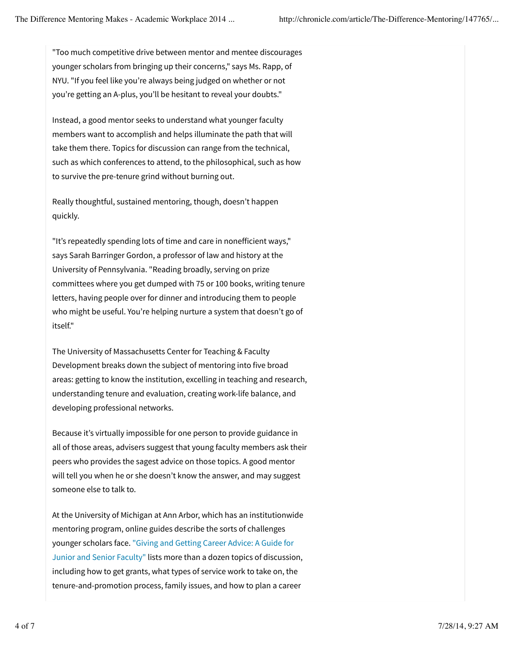"Too much competitive drive between mentor and mentee discourages younger scholars from bringing up their concerns," says Ms. Rapp, of NYU. "If you feel like you're always being judged on whether or not you're getting an A-plus, you'll be hesitant to reveal your doubts."

Instead, a good mentor seeks to understand what younger faculty members want to accomplish and helps illuminate the path that will take them there. Topics for discussion can range from the technical, such as which conferences to attend, to the philosophical, such as how to survive the pre-tenure grind without burning out.

Really thoughtful, sustained mentoring, though, doesn't happen quickly.

"It's repeatedly spending lots of time and care in nonefficient ways," says Sarah Barringer Gordon, a professor of law and history at the University of Pennsylvania. "Reading broadly, serving on prize committees where you get dumped with 75 or 100 books, writing tenure letters, having people over for dinner and introducing them to people who might be useful. You're helping nurture a system that doesn't go of itself."

The University of Massachusetts Center for Teaching & Faculty Development breaks down the subject of mentoring into five broad areas: getting to know the institution, excelling in teaching and research, understanding tenure and evaluation, creating work-life balance, and developing professional networks.

Because it's virtually impossible for one person to provide guidance in all of those areas, advisers suggest that young faculty members ask their peers who provides the sagest advice on those topics. A good mentor will tell you when he or she doesn't know the answer, and may suggest someone else to talk to.

At the University of Michigan at Ann Arbor, which has an institutionwide mentoring program, online guides describe the sorts of challenges younger scholars face. "Giving and Getting Career Advice: A Guide for Junior and Senior Faculty" lists more than a dozen topics of discussion, including how to get grants, what types of service work to take on, the tenure-and-promotion process, family issues, and how to plan a career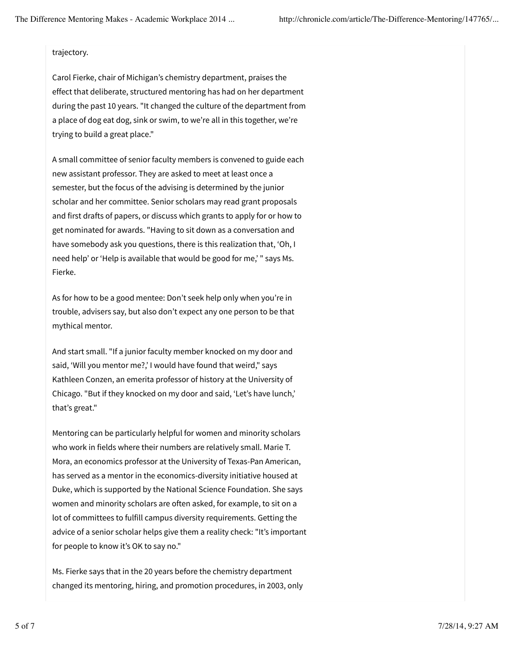#### trajectory.

Carol Fierke, chair of Michigan's chemistry department, praises the effect that deliberate, structured mentoring has had on her department during the past 10 years. "It changed the culture of the department from a place of dog eat dog, sink or swim, to we're all in this together, we're trying to build a great place."

A small committee of senior faculty members is convened to guide each new assistant professor. They are asked to meet at least once a semester, but the focus of the advising is determined by the junior scholar and her committee. Senior scholars may read grant proposals and first drafts of papers, or discuss which grants to apply for or how to get nominated for awards. "Having to sit down as a conversation and have somebody ask you questions, there is this realization that, 'Oh, I need help' or 'Help is available that would be good for me,' " says Ms. Fierke.

As for how to be a good mentee: Don't seek help only when you're in trouble, advisers say, but also don't expect any one person to be that mythical mentor.

And start small. "If a junior faculty member knocked on my door and said, 'Will you mentor me?,' I would have found that weird," says Kathleen Conzen, an emerita professor of history at the University of Chicago. "But if they knocked on my door and said, 'Let's have lunch,' that's great."

Mentoring can be particularly helpful for women and minority scholars who work in fields where their numbers are relatively small. Marie T. Mora, an economics professor at the University of Texas-Pan American, has served as a mentor in the economics-diversity initiative housed at Duke, which is supported by the National Science Foundation. She says women and minority scholars are often asked, for example, to sit on a lot of committees to fulfill campus diversity requirements. Getting the advice of a senior scholar helps give them a reality check: "It's important for people to know it's OK to say no."

Ms. Fierke says that in the 20 years before the chemistry department changed its mentoring, hiring, and promotion procedures, in 2003, only